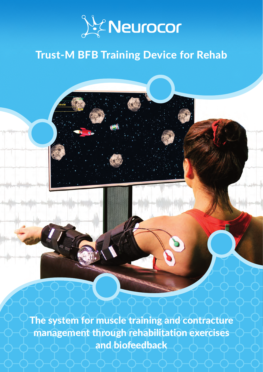

# Trust-M BFB Training Device for Rehab

The system for muscle training and contracture management through rehabilitation exercises and biofeedback